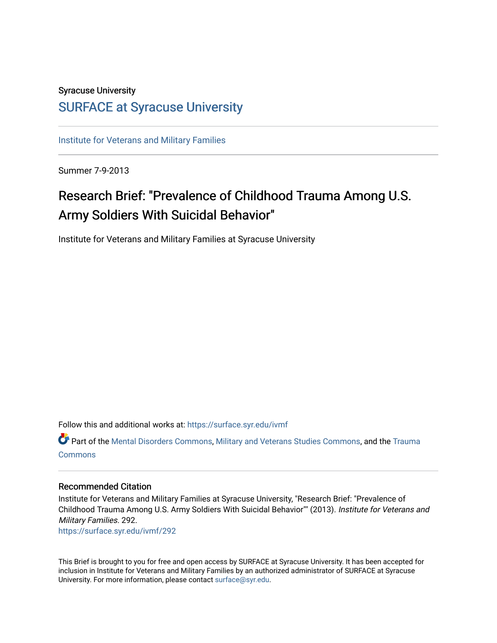#### Syracuse University

### [SURFACE at Syracuse University](https://surface.syr.edu/)

[Institute for Veterans and Military Families](https://surface.syr.edu/ivmf)

Summer 7-9-2013

## Research Brief: "Prevalence of Childhood Trauma Among U.S. Army Soldiers With Suicidal Behavior"

Institute for Veterans and Military Families at Syracuse University

Follow this and additional works at: [https://surface.syr.edu/ivmf](https://surface.syr.edu/ivmf?utm_source=surface.syr.edu%2Fivmf%2F292&utm_medium=PDF&utm_campaign=PDFCoverPages) 

**Part of the [Mental Disorders Commons,](http://network.bepress.com/hgg/discipline/968?utm_source=surface.syr.edu%2Fivmf%2F292&utm_medium=PDF&utm_campaign=PDFCoverPages) [Military and Veterans Studies Commons](http://network.bepress.com/hgg/discipline/396?utm_source=surface.syr.edu%2Fivmf%2F292&utm_medium=PDF&utm_campaign=PDFCoverPages), and the [Trauma](http://network.bepress.com/hgg/discipline/1240?utm_source=surface.syr.edu%2Fivmf%2F292&utm_medium=PDF&utm_campaign=PDFCoverPages) [Commons](http://network.bepress.com/hgg/discipline/1240?utm_source=surface.syr.edu%2Fivmf%2F292&utm_medium=PDF&utm_campaign=PDFCoverPages)** 

#### Recommended Citation

Institute for Veterans and Military Families at Syracuse University, "Research Brief: "Prevalence of Childhood Trauma Among U.S. Army Soldiers With Suicidal Behavior"" (2013). Institute for Veterans and Military Families. 292.

[https://surface.syr.edu/ivmf/292](https://surface.syr.edu/ivmf/292?utm_source=surface.syr.edu%2Fivmf%2F292&utm_medium=PDF&utm_campaign=PDFCoverPages) 

This Brief is brought to you for free and open access by SURFACE at Syracuse University. It has been accepted for inclusion in Institute for Veterans and Military Families by an authorized administrator of SURFACE at Syracuse University. For more information, please contact [surface@syr.edu.](mailto:surface@syr.edu)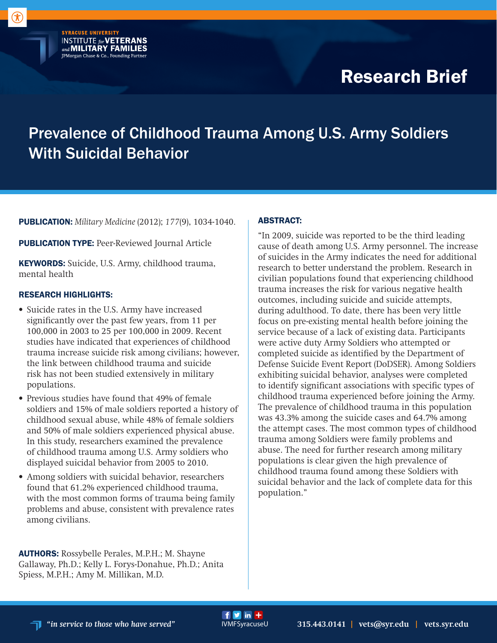# Research Brief

## Prevalence of Childhood Trauma Among U.S. Army Soldiers With Suicidal Behavior

 $f y$  in  $+$ 

PUBLICATION: *Military Medicine* (2012); *177*(9), 1034-1040.

PUBLICATION TYPE: Peer-Reviewed Journal Article

**SYRACUSE UNIVERSITY** 

**INSTITUTE for VETERANS**<br>and **MILITARY FAMILIES** JPMorgan Chase & Co., Founding Partner

KEYWORDS: Suicide, U.S. Army, childhood trauma, mental health

#### RESEARCH HIGHLIGHTS:

- Suicide rates in the U.S. Army have increased significantly over the past few years, from 11 per 100,000 in 2003 to 25 per 100,000 in 2009. Recent studies have indicated that experiences of childhood trauma increase suicide risk among civilians; however, the link between childhood trauma and suicide risk has not been studied extensively in military populations.
- Previous studies have found that 49% of female soldiers and 15% of male soldiers reported a history of childhood sexual abuse, while 48% of female soldiers and 50% of male soldiers experienced physical abuse. In this study, researchers examined the prevalence of childhood trauma among U.S. Army soldiers who displayed suicidal behavior from 2005 to 2010.
- Among soldiers with suicidal behavior, researchers found that 61.2% experienced childhood trauma, with the most common forms of trauma being family problems and abuse, consistent with prevalence rates among civilians.

AUTHORS: Rossybelle Perales, M.P.H.; M. Shayne Gallaway, Ph.D.; Kelly L. Forys-Donahue, Ph.D.; Anita Spiess, M.P.H.; Amy M. Millikan, M.D.

#### ABSTRACT:

"In 2009, suicide was reported to be the third leading cause of death among U.S. Army personnel. The increase of suicides in the Army indicates the need for additional research to better understand the problem. Research in civilian populations found that experiencing childhood trauma increases the risk for various negative health outcomes, including suicide and suicide attempts, during adulthood. To date, there has been very little focus on pre-existing mental health before joining the service because of a lack of existing data. Participants were active duty Army Soldiers who attempted or completed suicide as identified by the Department of Defense Suicide Event Report (DoDSER). Among Soldiers exhibiting suicidal behavior, analyses were completed to identify significant associations with specific types of childhood trauma experienced before joining the Army. The prevalence of childhood trauma in this population was 43.3% among the suicide cases and 64.7% among the attempt cases. The most common types of childhood trauma among Soldiers were family problems and abuse. The need for further research among military populations is clear given the high prevalence of childhood trauma found among these Soldiers with suicidal behavior and the lack of complete data for this population."